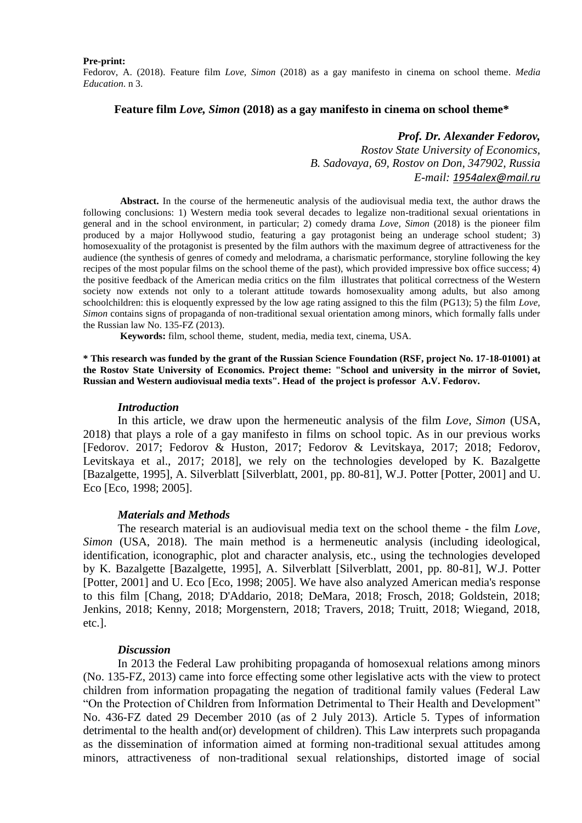#### **Pre-print:**

Fedorov, A. (2018). Feature film *Love, Simon* (2018) as a gay manifesto in cinema on school theme. *Media Education*. n 3.

### **Feature film** *Love, Simon* **(2018) as a gay manifesto in cinema on school theme\***

## *Prof. Dr. Alexander Fedorov,*

*Rostov State University of Economics, B. Sadovaya, 69, Rostov on Don, 347902, Russia E-mail: [1954alex@mail.ru](mailto:1954alex@mail.ru)*

**Abstract.** In the course of the hermeneutic analysis of the audiovisual media text, the author draws the following conclusions: 1) Western media took several decades to legalize non-traditional sexual orientations in general and in the school environment, in particular; 2) comedy drama *Love, Simon* (2018) is the pioneer film produced by a major Hollywood studio, featuring a gay protagonist being an underage school student; 3) homosexuality of the protagonist is presented by the film authors with the maximum degree of attractiveness for the audience (the synthesis of genres of comedy and melodrama, a charismatic performance, storyline following the key recipes of the most popular films on the school theme of the past), which provided impressive box office success; 4) the positive feedback of the American media critics on the film illustrates that political correctness of the Western society now extends not only to a tolerant attitude towards homosexuality among adults, but also among schoolchildren: this is eloquently expressed by the low age rating assigned to this the film (PG13); 5) the film *Love, Simon* contains signs of propaganda of non-traditional sexual orientation among minors, which formally falls under the Russian law No. 135-FZ (2013).

**Keywords:** film, school theme, student, media, media text, cinema, USA.

**\* This research was funded by the grant of the Russian Science Foundation (RSF, project No. 17-18-01001) at the Rostov State University of Economics. Project theme: "School and university in the mirror of Soviet, Russian and Western audiovisual media texts". Head of the project is professor A.V. Fedorov.**

### *Introduction*

In this article, we draw upon the hermeneutic analysis of the film *Love, Simon* (USA, 2018) that plays a role of a gay manifesto in films on school topic. As in our previous works [Fedorov. 2017; Fedorov & Huston, 2017; Fedorov & Levitskaya, 2017; 2018; Fedorov, Levitskaya et al., 2017; 2018], we rely on the technologies developed by K. Bazalgette [Bazalgette, 1995], A. Silverblatt [Silverblatt, 2001, pp. 80-81], W.J. Potter [Potter, 2001] and U. Eco [Eco, 1998; 2005].

#### *Materials and Methods*

The research material is an audiovisual media text on the school theme - the film *Love, Simon* (USA, 2018). The main method is a hermeneutic analysis (including ideological, identification, iconographic, plot and character analysis, etc., using the technologies developed by K. Bazalgette [Bazalgette, 1995], A. Silverblatt [Silverblatt, 2001, pp. 80-81], W.J. Potter [Potter, 2001] and U. Eco [Eco, 1998; 2005]. We have also analyzed American media's response to this film [Chang, 2018; D'Addario, 2018; DeMara, 2018; Frosch, 2018; Goldstein, 2018; Jenkins, 2018; Kenny, 2018; Morgenstern, 2018; Travers, 2018; Truitt, 2018; Wiegand, 2018, etc.].

### *Discussion*

In 2013 the Federal Law prohibiting propaganda of homosexual relations among minors (No. 135-FZ, 2013) came into force effecting some other legislative acts with the view to protect children from information propagating the negation of traditional family values (Federal Law "On the Protection of Children from Information Detrimental to Their Health and Development" No. 436-FZ dated 29 December 2010 (as of 2 July 2013). Article 5. Types of information detrimental to the health and(or) development of children). This Law interprets such propaganda as the dissemination of information aimed at forming non-traditional sexual attitudes among minors, attractiveness of non-traditional sexual relationships, distorted image of social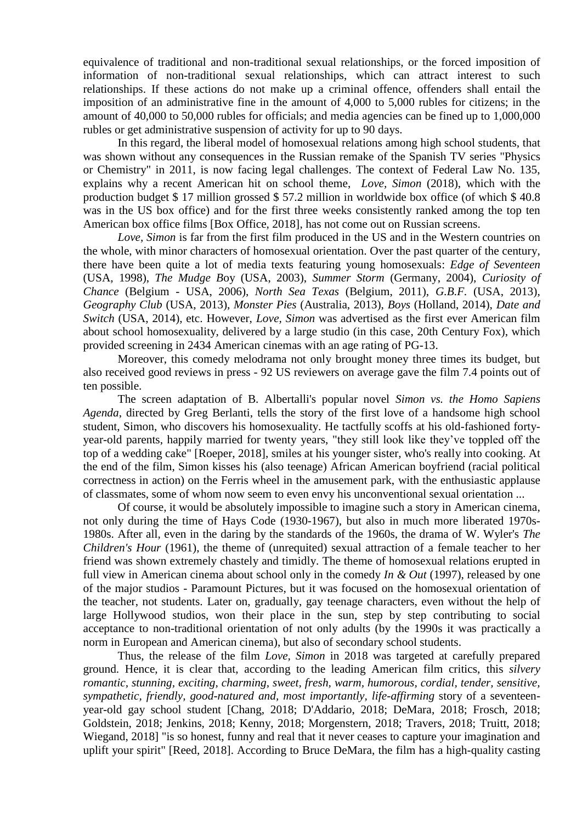equivalence of traditional and non-traditional sexual relationships, or the forced imposition of information of non-traditional sexual relationships, which can attract interest to such relationships. If these actions do not make up a criminal offence, offenders shall entail the imposition of an administrative fine in the amount of 4,000 to 5,000 rubles for citizens; in the amount of 40,000 to 50,000 rubles for officials; and media agencies can be fined up to 1,000,000 rubles or get administrative suspension of activity for up to 90 days.

In this regard, the liberal model of homosexual relations among high school students, that was shown without any consequences in the Russian remake of the Spanish TV series "Physics" or Chemistry" in 2011, is now facing legal challenges. The context of Federal Law No. 135, explains why a recent American hit on school theme, *Love, Simon* (2018), which with the production budget \$ 17 million grossed \$ 57.2 million in worldwide box office (of which \$ 40.8 was in the US box office) and for the first three weeks consistently ranked among the top ten American box office films [Box Office, 2018], has not come out on Russian screens.

*Love, Simon* is far from the first film produced in the US and in the Western countries on the whole, with minor characters of homosexual orientation. Over the past quarter of the century, there have been quite a lot of media texts featuring young homosexuals: *Edge of Seventeen* (USA, 1998), *The Mudge B*oy (USA, 2003), *Summer Storm* (Germany, 2004), *Curiosity of Chance* (Belgium - USA, 2006), *North Sea Texas* (Belgium, 2011), *G.B.F.* (USA, 2013), *Geography Club* (USA, 2013), *Monster Pies* (Australia, 2013), *Boys* (Holland, 2014), *Date and Switch* (USA, 2014), etc. However, *Love, Simon* was advertised as the first ever American film about school homosexuality, delivered by a large studio (in this case, 20th Century Fox), which provided screening in 2434 American cinemas with an age rating of PG-13.

Moreover, this comedy melodrama not only brought money three times its budget, but also received good reviews in press - 92 US reviewers on average gave the film 7.4 points out of ten possible.

The screen adaptation of B. Albertalli's popular novel *Simon vs. the Homo Sapiens Agenda*, directed by Greg Berlanti, tells the story of the first love of a handsome high school student, Simon, who discovers his homosexuality. He tactfully scoffs at his old-fashioned fortyyear-old parents, happily married for twenty years, "they still look like they've toppled off the top of a wedding cake" [Roeper, 2018], smiles at his younger sister, who's really into cooking. At the end of the film, Simon kisses his (also teenage) African American boyfriend (racial political correctness in action) on the Ferris wheel in the amusement park, with the enthusiastic applause of classmates, some of whom now seem to even envy his unconventional sexual orientation ...

Of course, it would be absolutely impossible to imagine such a story in American cinema, not only during the time of Hays Code (1930-1967), but also in much more liberated 1970s-1980s. After all, even in the daring by the standards of the 1960s, the drama of W. Wyler's *The Children's Hour* (1961), the theme of (unrequited) sexual attraction of a female teacher to her friend was shown extremely chastely and timidly. The theme of homosexual relations erupted in full view in American cinema about school only in the comedy *In & Out* (1997), released by one of the major studios - Paramount Pictures, but it was focused on the homosexual orientation of the teacher, not students. Later on, gradually, gay teenage characters, even without the help of large Hollywood studios, won their place in the sun, step by step contributing to social acceptance to non-traditional orientation of not only adults (by the 1990s it was practically a norm in European and American cinema), but also of secondary school students.

Thus, the release of the film *Love, Simon* in 2018 was targeted at carefully prepared ground. Hence, it is clear that, according to the leading American film critics, this *silvery romantic, stunning, exciting, charming, sweet, fresh, warm, humorous, cordial, tender, sensitive, sympathetic, friendly, good-natured and, most importantly, life-affirming* story of a seventeenyear-old gay school student [Chang, 2018; D'Addario, 2018; DeMara, 2018; Frosch, 2018; Goldstein, 2018; Jenkins, 2018; Kenny, 2018; Morgenstern, 2018; Travers, 2018; Truitt, 2018; Wiegand, 2018] "is so honest, funny and real that it never ceases to capture your imagination and uplift your spirit" [Reed, 2018]. According to Bruce DeMara, the film has a high-quality casting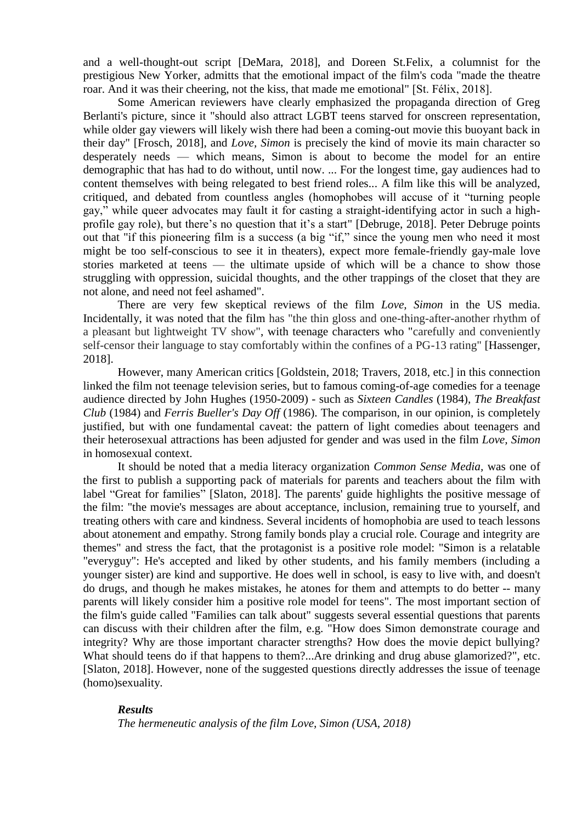and a well-thought-out script [DeMara, 2018], and Doreen St.Felix, a columnist for the prestigious New Yorker, admitts that the emotional impact of the film's coda "made the theatre roar. And it was their cheering, not the kiss, that made me emotional" [St. Félix, 2018].

Some American reviewers have clearly emphasized the propaganda direction of Greg Berlanti's picture, since it "should also attract LGBT teens starved for onscreen representation, while older gay viewers will likely wish there had been a coming-out movie this buoyant back in their day" [Frosch, 2018], and *Love, Simon* is precisely the kind of movie its main character so desperately needs — which means, Simon is about to become the model for an entire demographic that has had to do without, until now. ... For the longest time, gay audiences had to content themselves with being relegated to best friend roles... A film like this will be analyzed, critiqued, and debated from countless angles (homophobes will accuse of it "turning people gay," while queer advocates may fault it for casting a straight-identifying actor in such a highprofile gay role), but there's no question that it's a start" [Debruge, 2018]. Peter Debruge points out that "if this pioneering film is a success (a big "if," since the young men who need it most might be too self-conscious to see it in theaters), expect more female-friendly gay-male love stories marketed at teens — the ultimate upside of which will be a chance to show those struggling with oppression, suicidal thoughts, and the other trappings of the closet that they are not alone, and need not feel ashamed".

There are very few skeptical reviews of the film *Love, Simon* in the US media. Incidentally, it was noted that the film has "the thin gloss and one-thing-after-another rhythm of a pleasant but lightweight TV show", with teenage characters who "carefully and conveniently self-censor their language to stay comfortably within the confines of a PG-13 rating" [Hassenger, 2018].

However, many American critics [Goldstein, 2018; Travers, 2018, etc.] in this connection linked the film not teenage television series, but to famous coming-of-age comedies for a teenage audience directed by John Hughes (1950-2009) - such as *Sixteen Candles* (1984), *The Breakfast Club* (1984) and *Ferris Bueller's Day Off* (1986). The comparison, in our opinion, is completely justified, but with one fundamental caveat: the pattern of light comedies about teenagers and their heterosexual attractions has been adjusted for gender and was used in the film *Love, Simon* in homosexual context.

It should be noted that a media literacy organization *Common Sense Media,* was one of the first to publish a supporting pack of materials for parents and teachers about the film with label "Great for families" [\[Slaton,](https://www.commonsensemedia.org/users/joyce-slaton) 2018]. The parents' guide highlights the positive message of the film: "the movie's messages are about acceptance, inclusion, remaining true to yourself, and treating others with care and kindness. Several incidents of homophobia are used to teach lessons about atonement and empathy. Strong family bonds play a crucial role. Courage and integrity are themes" and stress the fact, that the protagonist is a positive role model: "Simon is a relatable "everyguy": He's accepted and liked by other students, and his family members (including a younger sister) are kind and supportive. He does well in school, is easy to live with, and doesn't do drugs, and though he makes mistakes, he atones for them and attempts to do better -- many parents will likely consider him a positive role model for teens". The most important section of the film's guide called "Families can talk about" suggests several essential questions that parents can discuss with their children after the film, e.g. "How does Simon demonstrate courage and integrity? Why are those important character strengths? How does the movie depict bullying? What should teens do if that happens to them?...Are drinking and drug abuse glamorized?", etc. [\[Slaton,](https://www.commonsensemedia.org/users/joyce-slaton) 2018]. However, none of the suggested questions directly addresses the issue of teenage (homo)sexuality.

# *Results The hermeneutic analysis of the film Love, Simon (USA, 2018)*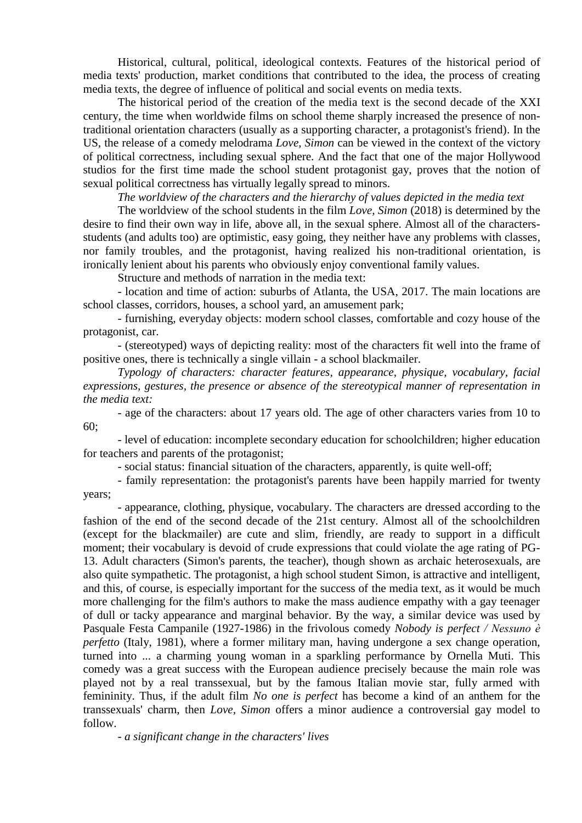Historical, cultural, political, ideological contexts. Features of the historical period of media texts' production, market conditions that contributed to the idea, the process of creating media texts, the degree of influence of political and social events on media texts.

The historical period of the creation of the media text is the second decade of the XXI century, the time when worldwide films on school theme sharply increased the presence of nontraditional orientation characters (usually as a supporting character, a protagonist's friend). In the US, the release of a comedy melodrama *Love, Simon* can be viewed in the context of the victory of political correctness, including sexual sphere. And the fact that one of the major Hollywood studios for the first time made the school student protagonist gay, proves that the notion of sexual political correctness has virtually legally spread to minors.

*The worldview of the characters and the hierarchy of values depicted in the media text*

The worldview of the school students in the film *Love, Simon* (2018) is determined by the desire to find their own way in life, above all, in the sexual sphere. Almost all of the charactersstudents (and adults too) are optimistic, easy going, they neither have any problems with classes, nor family troubles, and the protagonist, having realized his non-traditional orientation, is ironically lenient about his parents who obviously enjoy conventional family values.

Structure and methods of narration in the media text:

- location and time of action: suburbs of Atlanta, the USA, 2017. The main locations are school classes, corridors, houses, a school yard, an amusement park;

- furnishing, everyday objects: modern school classes, comfortable and cozy house of the protagonist, car.

- (stereotyped) ways of depicting reality: most of the characters fit well into the frame of positive ones, there is technically a single villain - a school blackmailer.

*Typology of characters: character features, appearance, physique, vocabulary, facial expressions, gestures, the presence or absence of the stereotypical manner of representation in the media text:*

- age of the characters: about 17 years old. The age of other characters varies from 10 to 60;

- level of education: incomplete secondary education for schoolchildren; higher education for teachers and parents of the protagonist;

- social status: financial situation of the characters, apparently, is quite well-off;

- family representation: the protagonist's parents have been happily married for twenty years;

- appearance, clothing, physique, vocabulary. The characters are dressed according to the fashion of the end of the second decade of the 21st century. Almost all of the schoolchildren (except for the blackmailer) are cute and slim, friendly, are ready to support in a difficult moment; their vocabulary is devoid of crude expressions that could violate the age rating of PG-13. Adult characters (Simon's parents, the teacher), though shown as archaic heterosexuals, are also quite sympathetic. The protagonist, a high school student Simon, is attractive and intelligent, and this, of course, is especially important for the success of the media text, as it would be much more challenging for the film's authors to make the mass audience empathy with a gay teenager of dull or tacky appearance and marginal behavior. By the way, a similar device was used by Pasquale Festa Campanile (1927-1986) in the frivolous comedy *Nobody is perfect / Nessuno è perfetto* (Italy, 1981), where a former military man, having undergone a sex change operation, turned into ... a charming young woman in a sparkling performance by Ornella Muti. This comedy was a great success with the European audience precisely because the main role was played not by a real transsexual, but by the famous Italian movie star, fully armed with femininity. Thus, if the adult film *No one is perfect* has become a kind of an anthem for the transsexuals' charm, then *Love, Simon* offers a minor audience a controversial gay model to follow.

*- a significant change in the characters' lives*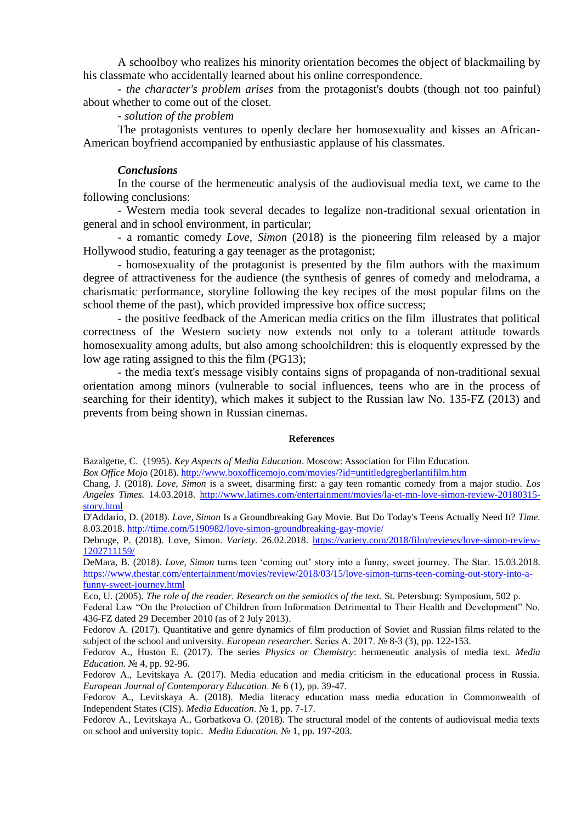A schoolboy who realizes his minority orientation becomes the object of blackmailing by his classmate who accidentally learned about his online correspondence.

*- the character's problem arises* from the protagonist's doubts (though not too painful) about whether to come out of the closet.

## *- solution of the problem*

The protagonists ventures to openly declare her homosexuality and kisses an African-American boyfriend accompanied by enthusiastic applause of his classmates.

## *Conclusions*

In the course of the hermeneutic analysis of the audiovisual media text, we came to the following conclusions:

- Western media took several decades to legalize non-traditional sexual orientation in general and in school environment, in particular;

- a romantic comedy *Love, Simon* (2018) is the pioneering film released by a major Hollywood studio, featuring a gay teenager as the protagonist;

- homosexuality of the protagonist is presented by the film authors with the maximum degree of attractiveness for the audience (the synthesis of genres of comedy and melodrama, a charismatic performance, storyline following the key recipes of the most popular films on the school theme of the past), which provided impressive box office success;

- the positive feedback of the American media critics on the film illustrates that political correctness of the Western society now extends not only to a tolerant attitude towards homosexuality among adults, but also among schoolchildren: this is eloquently expressed by the low age rating assigned to this the film (PG13);

- the media text's message visibly contains signs of propaganda of non-traditional sexual orientation among minors (vulnerable to social influences, teens who are in the process of searching for their identity), which makes it subject to the Russian law No. 135-FZ (2013) and prevents from being shown in Russian cinemas.

#### **References**

Bazalgette, C. (1995). *Key Aspects of Media Education*. Moscow: Association for Film Education.

*Box Office Mojo* (2018).<http://www.boxofficemojo.com/movies/?id=untitledgregberlantifilm.htm>

Chang, J. (2018). *Love, Simon* is a sweet, disarming first: a gay teen romantic comedy from a major studio. *[Los](https://www.rottentomatoes.com/source-268)  [Angeles Times](https://www.rottentomatoes.com/source-268)*. 14.03.2018. [http://www.latimes.com/entertainment/movies/la-et-mn-love-simon-review-20180315](http://www.latimes.com/entertainment/movies/la-et-mn-love-simon-review-20180315-story.html) [story.html](http://www.latimes.com/entertainment/movies/la-et-mn-love-simon-review-20180315-story.html)

[D'Addario,](http://time.com/author/daniel-daddario/) D. (2018). *Love, Simon* Is a Groundbreaking Gay Movie. But Do Today's Teens Actually Need It? *Time.*  8.03.2018.<http://time.com/5190982/love-simon-groundbreaking-gay-movie/>

Debruge, P. (2018). Love, Simon. *Variety.* 26.02.2018. [https://variety.com/2018/film/reviews/love-simon-review-](https://variety.com/2018/film/reviews/love-simon-review-1202711159/)[1202711159/](https://variety.com/2018/film/reviews/love-simon-review-1202711159/)

[DeMara,](https://www.thestar.com/authors.demara_bruce.html) B. (2018). *Love, Simon* turns teen 'coming out' story into a funny, sweet journey. The Star*.* 15.03.2018. [https://www.thestar.com/entertainment/movies/review/2018/03/15/love-simon-turns-teen-coming-out-story-into-a](https://www.thestar.com/entertainment/movies/review/2018/03/15/love-simon-turns-teen-coming-out-story-into-a-funny-sweet-journey.html)[funny-sweet-journey.html](https://www.thestar.com/entertainment/movies/review/2018/03/15/love-simon-turns-teen-coming-out-story-into-a-funny-sweet-journey.html)

Eco, U. (2005). *The role of the reader. Research on the semiotics of the text.* St. Petersburg: Symposium, 502 p.

Federal Law "On the Protection of Children from Information Detrimental to Their Health and Development" No. 436-FZ dated 29 December 2010 (as of 2 July 2013).

Fedorov A. (2017). Quantitative and genre dynamics of film production of Soviet and Russian films related to the subject of the school and university. *European researcher.* Series A. 2017. № 8-3 (3), pp. 122-153.

Fedorov A., Huston E. (2017). The series *Physics or Chemistry*: hermeneutic analysis of media text. *Media Education*. № 4, pp. 92-96.

Fedorov A., Levitskaya A. (2017). Media education and media criticism in the educational process in Russia. *European Journal of Contemporary Education*. № 6 (1), pp. 39-47.

Fedorov A., Levitskaya A. (2018). Media literacy education mass media education in Commonwealth of Independent States (CIS). *Media Education*. № 1, pp. 7-17.

Fedorov A., Levitskaya A., Gorbatkova O. (2018). The structural model of the contents of audiovisual media texts on school and university topic. *Media Education.* № 1, pp. 197-203.